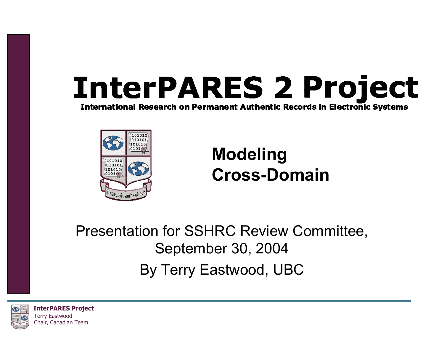# **InterPARES 2 Project**

**International Research on Permanent Authentic Records in Electronic Systems** 



#### **Modeling Cross-Domain**

Presentation for SSHRC Review Committee, September 30, 2004 By Terry Eastwood, UBC

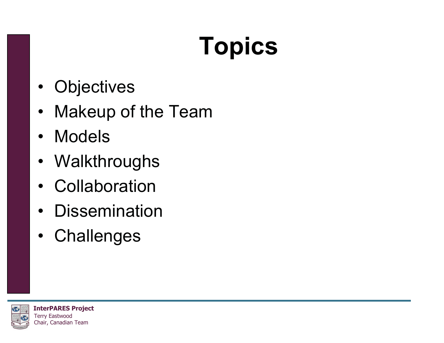## **Topics**

- Objectives
- Makeup of the Team
- Models
- Walkthroughs
- Collaboration
- Dissemination
- Challenges

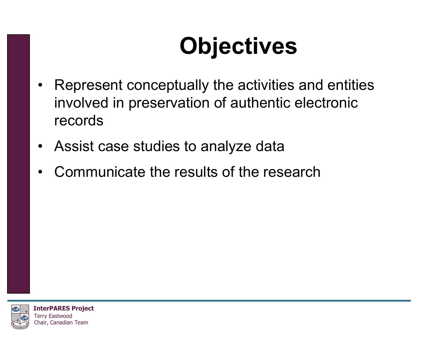#### **Objectives**

- Represent conceptually the activities and entities involved in preservation of authentic electronic records
- Assist case studies to analyze data
- •Communicate the results of the research

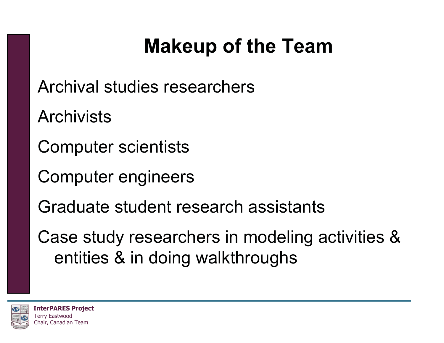#### **Makeup of the Team**

- Archival studies researchers
- **Archivists**
- Computer scientists
- Computer engineers
- Graduate student research assistants
- Case study researchers in modeling activities & entities & in doing walkthroughs

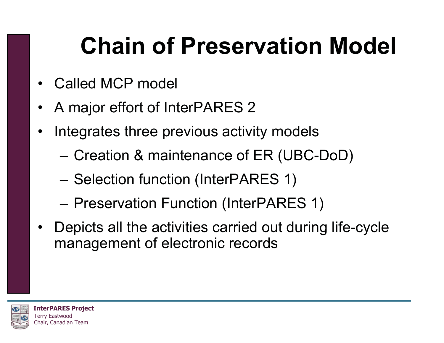#### **Chain of Preservation Model**

- •Called MCP model
- •A major effort of InterPARES 2
- • Integrates three previous activity models
	- Creation & maintenance of ER (UBC-DoD)
	- Selection function (InterPARES 1)
	- Preservation Function (InterPARES 1)
- Depicts all the activities carried out during life-cycle management of electronic records

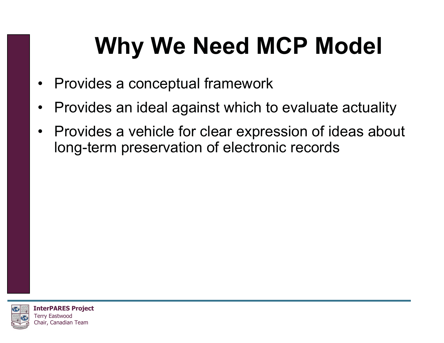#### **Why We Need MCP Model**

- Provides a conceptual framework
- Provides an ideal against which to evaluate actuality
- Provides a vehicle for clear expression of ideas about long-term preservation of electronic records

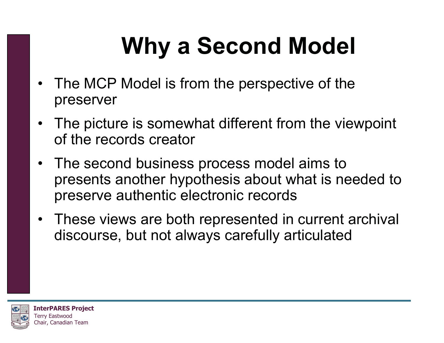### **Why a Second Model**

- The MCP Model is from the perspective of the preserver
- The picture is somewhat different from the viewpoint of the records creator
- The second business process model aims to presents another hypothesis about what is needed to preserve authentic electronic records
- These views are both represented in current archival discourse, but not always carefully articulated

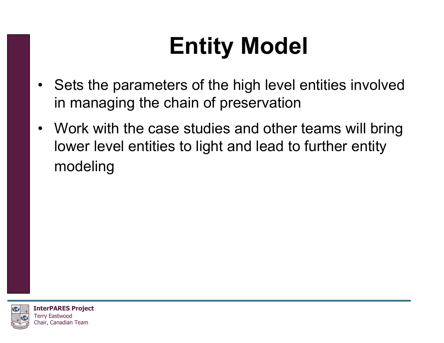#### **Entity Model**

- Sets the parameters of the high level entities involved in managing the chain of preservation
- Work with the case studies and other teams will bring lower level entities to light and lead to further entity modeling

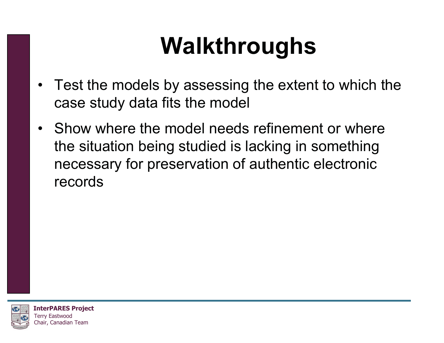#### **Walkthroughs**

- Test the models by assessing the extent to which the case study data fits the model
- Show where the model needs refinement or where the situation being studied is lacking in something necessary for preservation of authentic electronic records

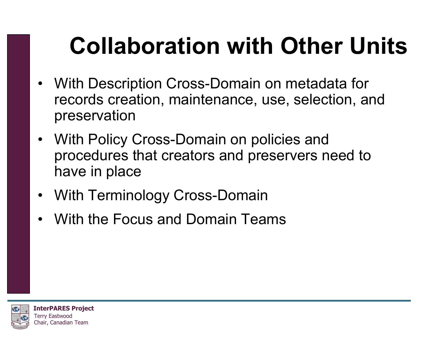#### **Collaboration with Other Units**

- With Description Cross-Domain on metadata for records creation, maintenance, use, selection, and preservation
- With Policy Cross-Domain on policies and procedures that creators and preservers need to have in place
- With Terminology Cross-Domain
- •With the Focus and Domain Teams

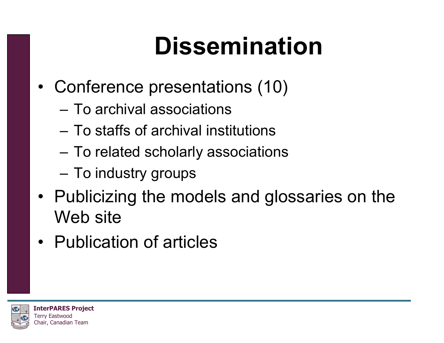#### **Dissemination**

- Conference presentations (10)
	- To archival associations
	- To staffs of archival institutions
	- –To related scholarly associations
	- To industry groups
- Publicizing the models and glossaries on the Web site
- Publication of articles